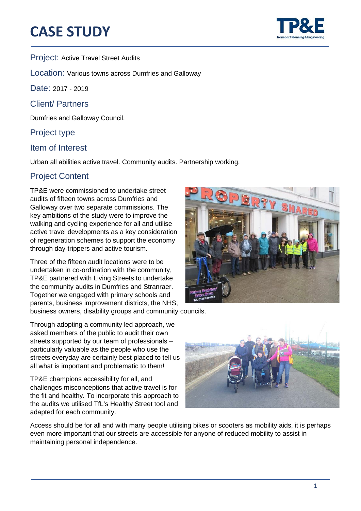## **CASE STUDY**



֦

#### Project: Active Travel Street Audits

Location: Various towns across Dumfries and Galloway

Date: 2017 - 2019

Client/ Partners

Dumfries and Galloway Council.

#### Project type

#### Item of Interest

Urban all abilities active travel. Community audits. Partnership working.

### Project Content

TP&E were commissioned to undertake street audits of fifteen towns across Dumfries and Galloway over two separate commissions. The key ambitions of the study were to improve the walking and cycling experience for all and utilise active travel developments as a key consideration of regeneration schemes to support the economy through day-trippers and active tourism.

Three of the fifteen audit locations were to be undertaken in co-ordination with the community, TP&E partnered with Living Streets to undertake the community audits in Dumfries and Stranraer. Together we engaged with primary schools and parents, business improvement districts, the NHS,

business owners, disability groups and community councils.

Through adopting a community led approach, we asked members of the public to audit their own streets supported by our team of professionals – particularly valuable as the people who use the streets everyday are certainly best placed to tell us all what is important and problematic to them!

TP&E champions accessibility for all, and challenges misconceptions that active travel is for the fit and healthy. To incorporate this approach to the audits we utilised TfL's Healthy Street tool and adapted for each community.



Access should be for all and with many people utilising bikes or scooters as mobility aids, it is perhaps even more important that our streets are accessible for anyone of reduced mobility to assist in maintaining personal independence.